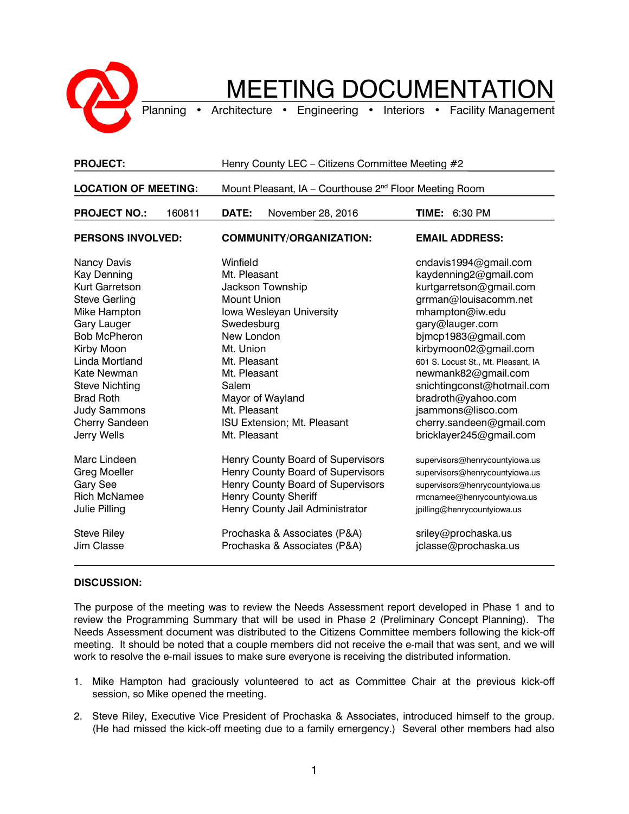

## MEETING DOCUMENTATION

Planning • Architecture • Engineering • Interiors • Facility Management

| <b>PROJECT:</b>                                                                                                                                                                                                                                                                              | Henry County LEC - Citizens Committee Meeting #2                                                                                                                                                                                                                           |                                                                                                                                                                                                                                                                                                                                                                                         |
|----------------------------------------------------------------------------------------------------------------------------------------------------------------------------------------------------------------------------------------------------------------------------------------------|----------------------------------------------------------------------------------------------------------------------------------------------------------------------------------------------------------------------------------------------------------------------------|-----------------------------------------------------------------------------------------------------------------------------------------------------------------------------------------------------------------------------------------------------------------------------------------------------------------------------------------------------------------------------------------|
| <b>LOCATION OF MEETING:</b>                                                                                                                                                                                                                                                                  | Mount Pleasant, IA - Courthouse 2 <sup>nd</sup> Floor Meeting Room                                                                                                                                                                                                         |                                                                                                                                                                                                                                                                                                                                                                                         |
| <b>PROJECT NO.:</b><br>160811                                                                                                                                                                                                                                                                | DATE:<br>November 28, 2016                                                                                                                                                                                                                                                 | <b>TIME: 6:30 PM</b>                                                                                                                                                                                                                                                                                                                                                                    |
| <b>PERSONS INVOLVED:</b>                                                                                                                                                                                                                                                                     | <b>COMMUNITY/ORGANIZATION:</b>                                                                                                                                                                                                                                             | <b>EMAIL ADDRESS:</b>                                                                                                                                                                                                                                                                                                                                                                   |
| Nancy Davis<br><b>Kay Denning</b><br>Kurt Garretson<br><b>Steve Gerling</b><br>Mike Hampton<br><b>Gary Lauger</b><br><b>Bob McPheron</b><br>Kirby Moon<br>Linda Mortland<br>Kate Newman<br><b>Steve Nichting</b><br><b>Brad Roth</b><br><b>Judy Sammons</b><br>Cherry Sandeen<br>Jerry Wells | Winfield<br>Mt. Pleasant<br><b>Jackson Township</b><br><b>Mount Union</b><br>Iowa Wesleyan University<br>Swedesburg<br>New London<br>Mt. Union<br>Mt. Pleasant<br>Mt. Pleasant<br>Salem<br>Mayor of Wayland<br>Mt. Pleasant<br>ISU Extension; Mt. Pleasant<br>Mt. Pleasant | cndavis1994@gmail.com<br>kaydenning2@gmail.com<br>kurtgarretson@gmail.com<br>grrman@louisacomm.net<br>mhampton@iw.edu<br>gary@lauger.com<br>bjmcp1983@gmail.com<br>kirbymoon02@gmail.com<br>601 S. Locust St., Mt. Pleasant, IA<br>newmank82@gmail.com<br>snichtingconst@hotmail.com<br>bradroth@yahoo.com<br>jsammons@lisco.com<br>cherry.sandeen@gmail.com<br>bricklayer245@gmail.com |
| Marc Lindeen<br><b>Greg Moeller</b><br>Gary See<br><b>Rich McNamee</b><br>Julie Pilling<br><b>Steve Riley</b><br>Jim Classe                                                                                                                                                                  | Henry County Board of Supervisors<br>Henry County Board of Supervisors<br>Henry County Board of Supervisors<br><b>Henry County Sheriff</b><br>Henry County Jail Administrator<br>Prochaska & Associates (P&A)<br>Prochaska & Associates (P&A)                              | supervisors@henrycountyiowa.us<br>supervisors@henrycountyiowa.us<br>supervisors@henrycountyiowa.us<br>rmcnamee@henrycountyiowa.us<br>jpilling@henrycountyiowa.us<br>sriley@prochaska.us<br>jclasse@prochaska.us                                                                                                                                                                         |

## **DISCUSSION:**

The purpose of the meeting was to review the Needs Assessment report developed in Phase 1 and to review the Programming Summary that will be used in Phase 2 (Preliminary Concept Planning). The Needs Assessment document was distributed to the Citizens Committee members following the kick-off meeting. It should be noted that a couple members did not receive the e-mail that was sent, and we will work to resolve the e-mail issues to make sure everyone is receiving the distributed information.

- 1. Mike Hampton had graciously volunteered to act as Committee Chair at the previous kick-off session, so Mike opened the meeting.
- 2. Steve Riley, Executive Vice President of Prochaska & Associates, introduced himself to the group. (He had missed the kick-off meeting due to a family emergency.) Several other members had also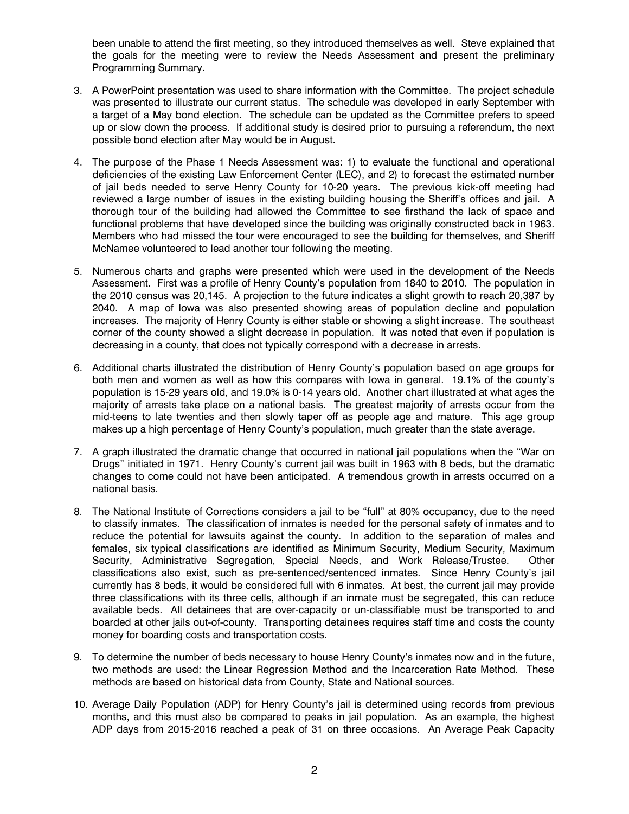been unable to attend the first meeting, so they introduced themselves as well. Steve explained that the goals for the meeting were to review the Needs Assessment and present the preliminary Programming Summary.

- 3. A PowerPoint presentation was used to share information with the Committee. The project schedule was presented to illustrate our current status. The schedule was developed in early September with a target of a May bond election. The schedule can be updated as the Committee prefers to speed up or slow down the process. If additional study is desired prior to pursuing a referendum, the next possible bond election after May would be in August.
- 4. The purpose of the Phase 1 Needs Assessment was: 1) to evaluate the functional and operational deficiencies of the existing Law Enforcement Center (LEC), and 2) to forecast the estimated number of jail beds needed to serve Henry County for 10-20 years. The previous kick-off meeting had reviewed a large number of issues in the existing building housing the Sheriff's offices and jail. A thorough tour of the building had allowed the Committee to see firsthand the lack of space and functional problems that have developed since the building was originally constructed back in 1963. Members who had missed the tour were encouraged to see the building for themselves, and Sheriff McNamee volunteered to lead another tour following the meeting.
- 5. Numerous charts and graphs were presented which were used in the development of the Needs Assessment. First was a profile of Henry County's population from 1840 to 2010. The population in the 2010 census was 20,145. A projection to the future indicates a slight growth to reach 20,387 by 2040. A map of Iowa was also presented showing areas of population decline and population increases. The majority of Henry County is either stable or showing a slight increase. The southeast corner of the county showed a slight decrease in population. It was noted that even if population is decreasing in a county, that does not typically correspond with a decrease in arrests.
- 6. Additional charts illustrated the distribution of Henry County's population based on age groups for both men and women as well as how this compares with Iowa in general. 19.1% of the county's population is 15-29 years old, and 19.0% is 0-14 years old. Another chart illustrated at what ages the majority of arrests take place on a national basis. The greatest majority of arrests occur from the mid-teens to late twenties and then slowly taper off as people age and mature. This age group makes up a high percentage of Henry County's population, much greater than the state average.
- 7. A graph illustrated the dramatic change that occurred in national jail populations when the "War on Drugs" initiated in 1971. Henry County's current jail was built in 1963 with 8 beds, but the dramatic changes to come could not have been anticipated. A tremendous growth in arrests occurred on a national basis.
- 8. The National Institute of Corrections considers a jail to be "full" at 80% occupancy, due to the need to classify inmates. The classification of inmates is needed for the personal safety of inmates and to reduce the potential for lawsuits against the county. In addition to the separation of males and females, six typical classifications are identified as Minimum Security, Medium Security, Maximum Security, Administrative Segregation, Special Needs, and Work Release/Trustee. Other classifications also exist, such as pre-sentenced/sentenced inmates. Since Henry County's jail currently has 8 beds, it would be considered full with 6 inmates. At best, the current jail may provide three classifications with its three cells, although if an inmate must be segregated, this can reduce available beds. All detainees that are over-capacity or un-classifiable must be transported to and boarded at other jails out-of-county. Transporting detainees requires staff time and costs the county money for boarding costs and transportation costs.
- 9. To determine the number of beds necessary to house Henry County's inmates now and in the future, two methods are used: the Linear Regression Method and the Incarceration Rate Method. These methods are based on historical data from County, State and National sources.
- 10. Average Daily Population (ADP) for Henry County's jail is determined using records from previous months, and this must also be compared to peaks in jail population. As an example, the highest ADP days from 2015-2016 reached a peak of 31 on three occasions. An Average Peak Capacity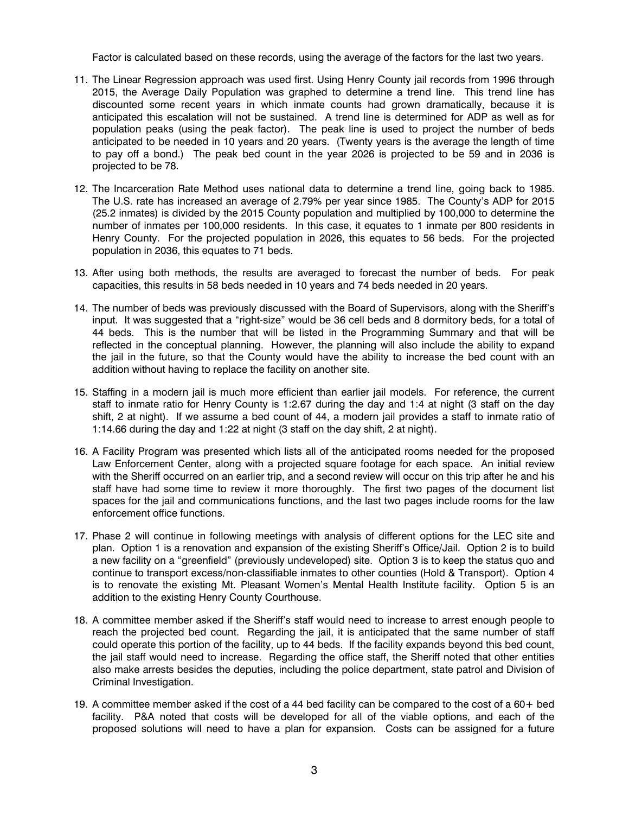Factor is calculated based on these records, using the average of the factors for the last two years.

- 11. The Linear Regression approach was used first. Using Henry County jail records from 1996 through 2015, the Average Daily Population was graphed to determine a trend line. This trend line has discounted some recent years in which inmate counts had grown dramatically, because it is anticipated this escalation will not be sustained. A trend line is determined for ADP as well as for population peaks (using the peak factor). The peak line is used to project the number of beds anticipated to be needed in 10 years and 20 years. (Twenty years is the average the length of time to pay off a bond.) The peak bed count in the year 2026 is projected to be 59 and in 2036 is projected to be 78.
- 12. The Incarceration Rate Method uses national data to determine a trend line, going back to 1985. The U.S. rate has increased an average of 2.79% per year since 1985. The County's ADP for 2015 (25.2 inmates) is divided by the 2015 County population and multiplied by 100,000 to determine the number of inmates per 100,000 residents. In this case, it equates to 1 inmate per 800 residents in Henry County. For the projected population in 2026, this equates to 56 beds. For the projected population in 2036, this equates to 71 beds.
- 13. After using both methods, the results are averaged to forecast the number of beds. For peak capacities, this results in 58 beds needed in 10 years and 74 beds needed in 20 years.
- 14. The number of beds was previously discussed with the Board of Supervisors, along with the Sheriff's input. It was suggested that a "right-size" would be 36 cell beds and 8 dormitory beds, for a total of 44 beds. This is the number that will be listed in the Programming Summary and that will be reflected in the conceptual planning. However, the planning will also include the ability to expand the jail in the future, so that the County would have the ability to increase the bed count with an addition without having to replace the facility on another site.
- 15. Staffing in a modern jail is much more efficient than earlier jail models. For reference, the current staff to inmate ratio for Henry County is 1:2.67 during the day and 1:4 at night (3 staff on the day shift, 2 at night). If we assume a bed count of 44, a modern jail provides a staff to inmate ratio of 1:14.66 during the day and 1:22 at night (3 staff on the day shift, 2 at night).
- 16. A Facility Program was presented which lists all of the anticipated rooms needed for the proposed Law Enforcement Center, along with a projected square footage for each space. An initial review with the Sheriff occurred on an earlier trip, and a second review will occur on this trip after he and his staff have had some time to review it more thoroughly. The first two pages of the document list spaces for the jail and communications functions, and the last two pages include rooms for the law enforcement office functions.
- 17. Phase 2 will continue in following meetings with analysis of different options for the LEC site and plan. Option 1 is a renovation and expansion of the existing Sheriff's Office/Jail. Option 2 is to build a new facility on a "greenfield" (previously undeveloped) site. Option 3 is to keep the status quo and continue to transport excess/non-classifiable inmates to other counties (Hold & Transport). Option 4 is to renovate the existing Mt. Pleasant Women's Mental Health Institute facility. Option 5 is an addition to the existing Henry County Courthouse.
- 18. A committee member asked if the Sheriff's staff would need to increase to arrest enough people to reach the projected bed count. Regarding the jail, it is anticipated that the same number of staff could operate this portion of the facility, up to 44 beds. If the facility expands beyond this bed count, the jail staff would need to increase. Regarding the office staff, the Sheriff noted that other entities also make arrests besides the deputies, including the police department, state patrol and Division of Criminal Investigation.
- 19. A committee member asked if the cost of a 44 bed facility can be compared to the cost of a 60+ bed facility. P&A noted that costs will be developed for all of the viable options, and each of the proposed solutions will need to have a plan for expansion. Costs can be assigned for a future